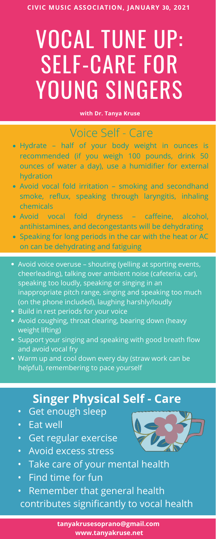# VOCAL TUNE UP: SELF-CARE FOR YOUNG SINGERS

**CIVIC MUSIC ASSOCIATION, JANUARY 30, 2021**

**with Dr. Tanya Kruse**

- Get enough sleep
- Eat well
- Get regular exercise
- Avoid excess stress



- Hydrate half of your body weight in ounces is recommended (if you weigh 100 pounds, drink 50 ounces of water a day), use a humidifier for external hydration
- Avoid vocal fold irritation smoking and secondhand smoke, reflux, speaking through laryngitis, inhaling chemicals
- Avoid vocal fold dryness caffeine, alcohol, antihistamines, and decongestants will be dehydrating
- Speaking for long periods in the car with the heat or AC on can be dehydrating and fatiguing
- Avoid voice overuse shouting (yelling at sporting events, cheerleading), talking over ambient noise (cafeteria, car), speaking too loudly, speaking or singing in an inappropriate pitch range, singing and speaking too much (on the phone included), laughing harshly/loudly
- Build in rest periods for your voice
- Avoid coughing, throat clearing, bearing down (heavy weight lifting)
- Support your singing and speaking with good breath flow and avoid vocal fry
- Warm up and cool down every day (straw work can be helpful), remembering to pace yourself

- Take care of your mental health
- Find time for fun
- Remember that general health contributes significantly to vocal health

## Voice Self - Care

### **Singer Physical Self - Care**

**tanyakrusesoprano@gmail.com www.tanyakruse.net**